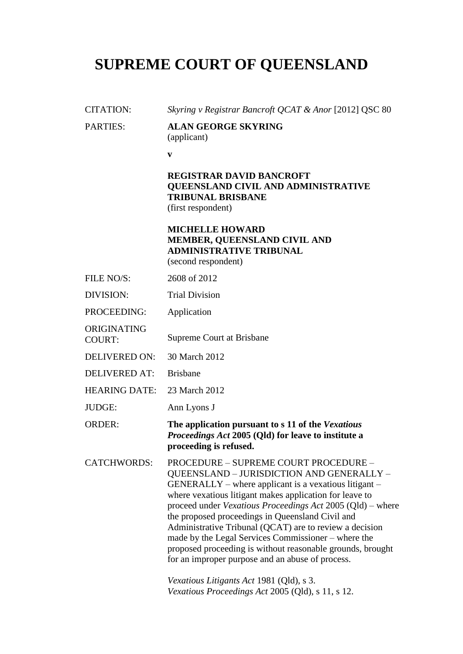# **SUPREME COURT OF QUEENSLAND**

# CITATION: *Skyring v Registrar Bancroft QCAT & Anor* [2012] QSC 80 PARTIES: **ALAN GEORGE SKYRING**  (applicant) **v REGISTRAR DAVID BANCROFT QUEENSLAND CIVIL AND ADMINISTRATIVE TRIBUNAL BRISBANE** (first respondent) **MICHELLE HOWARD MEMBER, QUEENSLAND CIVIL AND ADMINISTRATIVE TRIBUNAL**  (second respondent) FILE NO/S: 2608 of 2012 DIVISION: Trial Division PROCEEDING: Application ORIGINATING COURT: Supreme Court at Brisbane DELIVERED ON: 30 March 2012 DELIVERED AT: Brisbane HEARING DATE: 23 March 2012 JUDGE: Ann Lyons J ORDER: **The application pursuant to s 11 of the** *Vexatious Proceedings Act* **2005 (Qld) for leave to institute a proceeding is refused.** CATCHWORDS: PROCEDURE – SUPREME COURT PROCEDURE – QUEENSLAND – JURISDICTION AND GENERALLY –  $GENERALLY - where application is a vexational.$ where vexatious litigant makes application for leave to proceed under *Vexatious Proceedings Act* 2005 (Qld) – where the proposed proceedings in Queensland Civil and Administrative Tribunal (QCAT) are to review a decision made by the Legal Services Commissioner – where the proposed proceeding is without reasonable grounds, brought for an improper purpose and an abuse of process.

*Vexatious Litigants Act* 1981 (Qld), s 3. *Vexatious Proceedings Act* 2005 (Qld), s 11, s 12.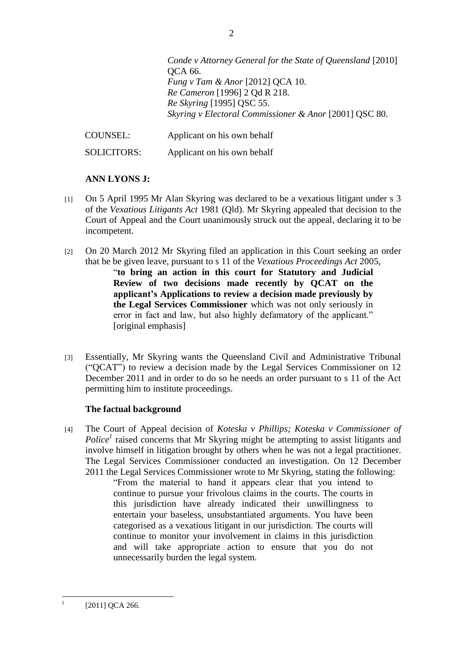*Conde v Attorney General for the State of Queensland* [2010] QCA 66. *Fung v Tam & Anor* [2012] QCA 10. *Re Cameron* [1996] 2 Qd R 218. *Re Skyring* [1995] QSC 55. *Skyring v Electoral Commissioner & Anor* [2001] QSC 80. COUNSEL: Applicant on his own behalf

SOLICITORS: Applicant on his own behalf

# **ANN LYONS J:**

- [1] On 5 April 1995 Mr Alan Skyring was declared to be a vexatious litigant under s 3 of the *Vexatious Litigants Act* 1981 (Qld). Mr Skyring appealed that decision to the Court of Appeal and the Court unanimously struck out the appeal, declaring it to be incompetent.
- [2] On 20 March 2012 Mr Skyring filed an application in this Court seeking an order that he be given leave, pursuant to s 11 of the *Vexatious Proceedings Act* 2005, ―**to bring an action in this court for Statutory and Judicial Review of two decisions made recently by QCAT on the applicant"s Applications to review a decision made previously by the Legal Services Commissioner** which was not only seriously in error in fact and law, but also highly defamatory of the applicant." [original emphasis]
- [3] Essentially, Mr Skyring wants the Queensland Civil and Administrative Tribunal (―QCAT‖) to review a decision made by the Legal Services Commissioner on 12 December 2011 and in order to do so he needs an order pursuant to s 11 of the Act permitting him to institute proceedings.

# **The factual background**

[4] The Court of Appeal decision of *Koteska v Phillips; Koteska v Commissioner of*  Police<sup>1</sup> raised concerns that Mr Skyring might be attempting to assist litigants and involve himself in litigation brought by others when he was not a legal practitioner. The Legal Services Commissioner conducted an investigation. On 12 December 2011 the Legal Services Commissioner wrote to Mr Skyring, stating the following:

> ―From the material to hand it appears clear that you intend to continue to pursue your frivolous claims in the courts. The courts in this jurisdiction have already indicated their unwillingness to entertain your baseless, unsubstantiated arguments. You have been categorised as a vexatious litigant in our jurisdiction. The courts will continue to monitor your involvement in claims in this jurisdiction and will take appropriate action to ensure that you do not unnecessarily burden the legal system.

 $\frac{1}{1}$ [2011] QCA 266.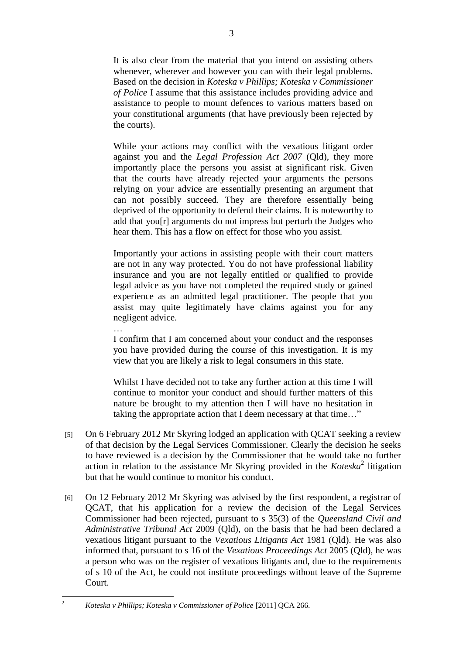It is also clear from the material that you intend on assisting others whenever, wherever and however you can with their legal problems. Based on the decision in *Koteska v Phillips; Koteska v Commissioner of Police* I assume that this assistance includes providing advice and assistance to people to mount defences to various matters based on your constitutional arguments (that have previously been rejected by the courts).

While your actions may conflict with the vexatious litigant order against you and the *Legal Profession Act 2007* (Qld), they more importantly place the persons you assist at significant risk. Given that the courts have already rejected your arguments the persons relying on your advice are essentially presenting an argument that can not possibly succeed. They are therefore essentially being deprived of the opportunity to defend their claims. It is noteworthy to add that you[r] arguments do not impress but perturb the Judges who hear them. This has a flow on effect for those who you assist.

Importantly your actions in assisting people with their court matters are not in any way protected. You do not have professional liability insurance and you are not legally entitled or qualified to provide legal advice as you have not completed the required study or gained experience as an admitted legal practitioner. The people that you assist may quite legitimately have claims against you for any negligent advice.

… I confirm that I am concerned about your conduct and the responses you have provided during the course of this investigation. It is my view that you are likely a risk to legal consumers in this state.

Whilst I have decided not to take any further action at this time I will continue to monitor your conduct and should further matters of this nature be brought to my attention then I will have no hesitation in taking the appropriate action that I deem necessary at that time..."

- [5] On 6 February 2012 Mr Skyring lodged an application with QCAT seeking a review of that decision by the Legal Services Commissioner. Clearly the decision he seeks to have reviewed is a decision by the Commissioner that he would take no further action in relation to the assistance Mr Skyring provided in the  $Koteska<sup>2</sup>$  litigation but that he would continue to monitor his conduct.
- [6] On 12 February 2012 Mr Skyring was advised by the first respondent, a registrar of QCAT, that his application for a review the decision of the Legal Services Commissioner had been rejected, pursuant to s 35(3) of the *Queensland Civil and Administrative Tribunal Act* 2009 (Qld), on the basis that he had been declared a vexatious litigant pursuant to the *Vexatious Litigants Act* 1981 (Qld). He was also informed that, pursuant to s 16 of the *Vexatious Proceedings Act* 2005 (Qld), he was a person who was on the register of vexatious litigants and, due to the requirements of s 10 of the Act, he could not institute proceedings without leave of the Supreme Court.

 $\overline{2}$ 

<sup>2</sup> *Koteska v Phillips; Koteska v Commissioner of Police* [2011] QCA 266.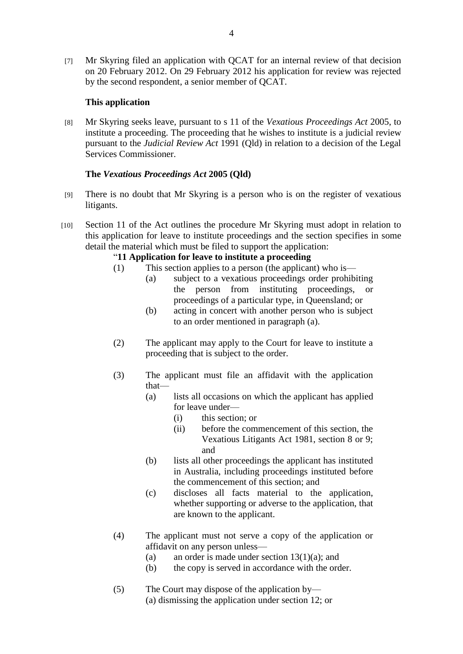[7] Mr Skyring filed an application with QCAT for an internal review of that decision on 20 February 2012. On 29 February 2012 his application for review was rejected by the second respondent, a senior member of QCAT.

### **This application**

[8] Mr Skyring seeks leave, pursuant to s 11 of the *Vexatious Proceedings Act* 2005, to institute a proceeding. The proceeding that he wishes to institute is a judicial review pursuant to the *Judicial Review Act* 1991 (Qld) in relation to a decision of the Legal Services Commissioner.

# **The** *Vexatious Proceedings Act* **2005 (Qld)**

- [9] There is no doubt that Mr Skyring is a person who is on the register of vexatious litigants.
- [10] Section 11 of the Act outlines the procedure Mr Skyring must adopt in relation to this application for leave to institute proceedings and the section specifies in some detail the material which must be filed to support the application:

## ―**11 Application for leave to institute a proceeding**

- (1) This section applies to a person (the applicant) who is—
	- (a) subject to a vexatious proceedings order prohibiting the person from instituting proceedings, or proceedings of a particular type, in Queensland; or
		- (b) acting in concert with another person who is subject to an order mentioned in paragraph (a).
- (2) The applicant may apply to the Court for leave to institute a proceeding that is subject to the order.
- (3) The applicant must file an affidavit with the application that—
	- (a) lists all occasions on which the applicant has applied for leave under—
		- (i) this section; or
		- (ii) before the commencement of this section, the Vexatious Litigants Act 1981, section 8 or 9; and
	- (b) lists all other proceedings the applicant has instituted in Australia, including proceedings instituted before the commencement of this section; and
	- (c) discloses all facts material to the application, whether supporting or adverse to the application, that are known to the applicant.
- (4) The applicant must not serve a copy of the application or affidavit on any person unless—
	- (a) an order is made under section 13(1)(a); and
	- (b) the copy is served in accordance with the order.
- (5) The Court may dispose of the application by— (a) dismissing the application under section 12; or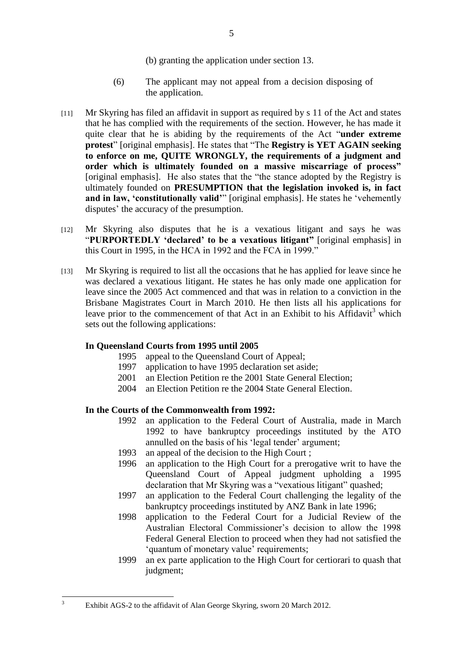- (b) granting the application under section 13.
- (6) The applicant may not appeal from a decision disposing of the application.
- [11] Mr Skyring has filed an affidavit in support as required by s 11 of the Act and states that he has complied with the requirements of the section. However, he has made it quite clear that he is abiding by the requirements of the Act "**under extreme protest**" [original emphasis]. He states that "The **Registry is YET AGAIN seeking to enforce on me, QUITE WRONGLY, the requirements of a judgment and order which is ultimately founded on a massive miscarriage of process"** [original emphasis]. He also states that the "the stance adopted by the Registry is ultimately founded on **PRESUMPTION that the legislation invoked is, in fact and in law, 'constitutionally valid'**" [original emphasis]. He states he 'vehemently disputes' the accuracy of the presumption.
- [12] Mr Skyring also disputes that he is a vexatious litigant and says he was "PURPORTEDLY 'declared' to be a vexatious litigant" [original emphasis] in this Court in 1995, in the HCA in 1992 and the FCA in 1999."
- [13] Mr Skyring is required to list all the occasions that he has applied for leave since he was declared a vexatious litigant. He states he has only made one application for leave since the 2005 Act commenced and that was in relation to a conviction in the Brisbane Magistrates Court in March 2010. He then lists all his applications for leave prior to the commencement of that Act in an Exhibit to his Affidavit<sup>3</sup> which sets out the following applications:

#### **In Queensland Courts from 1995 until 2005**

- 1995 appeal to the Queensland Court of Appeal;
- 1997 application to have 1995 declaration set aside;
- 2001 an Election Petition re the 2001 State General Election;
- 2004 an Election Petition re the 2004 State General Election.

#### **In the Courts of the Commonwealth from 1992:**

- 1992 an application to the Federal Court of Australia, made in March 1992 to have bankruptcy proceedings instituted by the ATO annulled on the basis of his 'legal tender' argument;
- 1993 an appeal of the decision to the High Court ;
- 1996 an application to the High Court for a prerogative writ to have the Queensland Court of Appeal judgment upholding a 1995 declaration that Mr Skyring was a "vexatious litigant" quashed;
- 1997 an application to the Federal Court challenging the legality of the bankruptcy proceedings instituted by ANZ Bank in late 1996;
- 1998 application to the Federal Court for a Judicial Review of the Australian Electoral Commissioner's decision to allow the 1998 Federal General Election to proceed when they had not satisfied the ‗quantum of monetary value' requirements;
- 1999 an ex parte application to the High Court for certiorari to quash that judgment;

 $\overline{\mathbf{3}}$ 

Exhibit AGS-2 to the affidavit of Alan George Skyring, sworn 20 March 2012.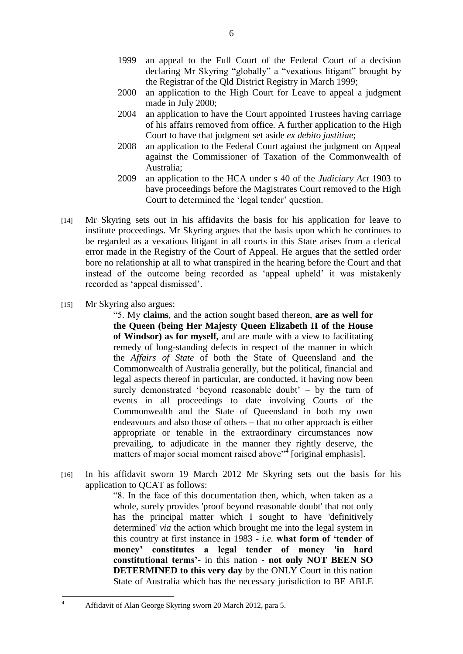- 1999 an appeal to the Full Court of the Federal Court of a decision declaring Mr Skyring "globally" a "vexatious litigant" brought by the Registrar of the Qld District Registry in March 1999;
- 2000 an application to the High Court for Leave to appeal a judgment made in July 2000;
- 2004 an application to have the Court appointed Trustees having carriage of his affairs removed from office. A further application to the High Court to have that judgment set aside *ex debito justitiae*;
- 2008 an application to the Federal Court against the judgment on Appeal against the Commissioner of Taxation of the Commonwealth of Australia;
- 2009 an application to the HCA under s 40 of the *Judiciary Act* 1903 to have proceedings before the Magistrates Court removed to the High Court to determined the 'legal tender' question.
- [14] Mr Skyring sets out in his affidavits the basis for his application for leave to institute proceedings. Mr Skyring argues that the basis upon which he continues to be regarded as a vexatious litigant in all courts in this State arises from a clerical error made in the Registry of the Court of Appeal. He argues that the settled order bore no relationship at all to what transpired in the hearing before the Court and that instead of the outcome being recorded as 'appeal upheld' it was mistakenly recorded as 'appeal dismissed'.
- [15] Mr Skyring also argues:

 $\overline{4}$ 

―5. My **claims**, and the action sought based thereon, **are as well for the Queen (being Her Majesty Queen Elizabeth II of the House of Windsor) as for myself,** and are made with a view to facilitating remedy of long-standing defects in respect of the manner in which the *Affairs of State* of both the State of Queensland and the Commonwealth of Australia generally, but the political, financial and legal aspects thereof in particular, are conducted, it having now been surely demonstrated 'beyond reasonable doubt'  $-$  by the turn of events in all proceedings to date involving Courts of the Commonwealth and the State of Queensland in both my own endeavours and also those of others – that no other approach is either appropriate or tenable in the extraordinary circumstances now prevailing, to adjudicate in the manner they rightly deserve, the matters of major social moment raised above"<sup>4</sup> [original emphasis].

[16] In his affidavit sworn 19 March 2012 Mr Skyring sets out the basis for his application to QCAT as follows:

> ―8. In the face of this documentation then, which, when taken as a whole, surely provides 'proof beyond reasonable doubt' that not only has the principal matter which I sought to have 'definitively determined' *via* the action which brought me into the legal system in this country at first instance in 1983 - *i.e.* **what form of "tender of money" constitutes a legal tender of money 'in hard constitutional terms"**- in this nation - **not only NOT BEEN SO DETERMINED to this very day** by the ONLY Court in this nation State of Australia which has the necessary jurisdiction to BE ABLE

<sup>4</sup> Affidavit of Alan George Skyring sworn 20 March 2012, para 5.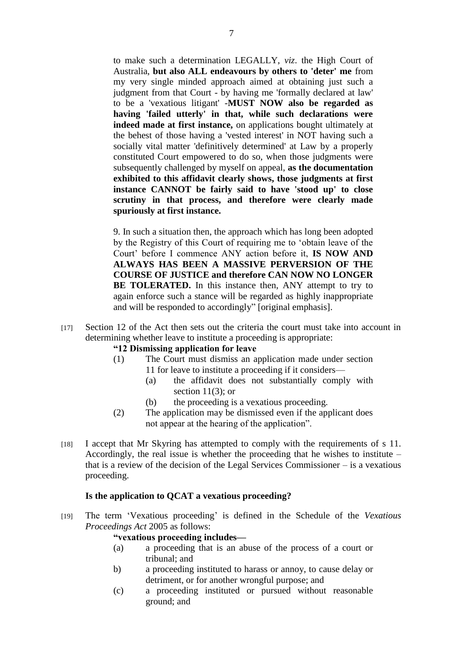to make such a determination LEGALLY, *viz*. the High Court of Australia, **but also ALL endeavours by others to 'deter' me** from my very single minded approach aimed at obtaining just such a judgment from that Court - by having me 'formally declared at law' to be a 'vexatious litigant' -**MUST NOW also be regarded as having 'failed utterly' in that, while such declarations were indeed made at first instance,** on applications bought ultimately at the behest of those having a 'vested interest' in NOT having such a socially vital matter 'definitively determined' at Law by a properly constituted Court empowered to do so, when those judgments were subsequently challenged by myself on appeal, **as the documentation exhibited to this affidavit clearly shows, those judgments at first instance CANNOT be fairly said to have 'stood up' to close scrutiny in that process, and therefore were clearly made spuriously at first instance.**

9. In such a situation then, the approach which has long been adopted by the Registry of this Court of requiring me to 'obtain leave of the Court' before I commence ANY action before it, **IS NOW AND ALWAYS HAS BEEN A MASSIVE PERVERSION OF THE COURSE OF JUSTICE and therefore CAN NOW NO LONGER**  BE TOLERATED. In this instance then, ANY attempt to try to again enforce such a stance will be regarded as highly inappropriate and will be responded to accordingly" [original emphasis].

[17] Section 12 of the Act then sets out the criteria the court must take into account in determining whether leave to institute a proceeding is appropriate:

#### **"12 Dismissing application for leave**

- (1) The Court must dismiss an application made under section 11 for leave to institute a proceeding if it considers—
	- (a) the affidavit does not substantially comply with section  $11(3)$ ; or
	- (b) the proceeding is a vexatious proceeding.
- (2) The application may be dismissed even if the applicant does not appear at the hearing of the application".
- [18] I accept that Mr Skyring has attempted to comply with the requirements of s 11. Accordingly, the real issue is whether the proceeding that he wishes to institute – that is a review of the decision of the Legal Services Commissioner – is a vexatious proceeding.

#### **Is the application to QCAT a vexatious proceeding?**

[19] The term ‗Vexatious proceeding' is defined in the Schedule of the *Vexatious Proceedings Act* 2005 as follows:

#### **"vexatious proceeding includes—**

- (a) a proceeding that is an abuse of the process of a court or tribunal; and
- b) a proceeding instituted to harass or annoy, to cause delay or detriment, or for another wrongful purpose; and
- (c) a proceeding instituted or pursued without reasonable ground; and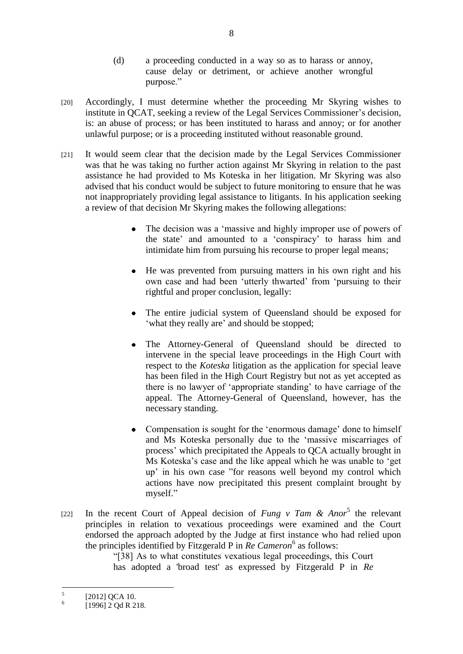- (d) a proceeding conducted in a way so as to harass or annoy, cause delay or detriment, or achieve another wrongful purpose."
- [20] Accordingly, I must determine whether the proceeding Mr Skyring wishes to institute in QCAT, seeking a review of the Legal Services Commissioner's decision, is: an abuse of process; or has been instituted to harass and annoy; or for another unlawful purpose; or is a proceeding instituted without reasonable ground.
- [21] It would seem clear that the decision made by the Legal Services Commissioner was that he was taking no further action against Mr Skyring in relation to the past assistance he had provided to Ms Koteska in her litigation. Mr Skyring was also advised that his conduct would be subject to future monitoring to ensure that he was not inappropriately providing legal assistance to litigants. In his application seeking a review of that decision Mr Skyring makes the following allegations:
	- The decision was a 'massive and highly improper use of powers of  $\bullet$ the state' and amounted to a 'conspiracy' to harass him and intimidate him from pursuing his recourse to proper legal means;
	- He was prevented from pursuing matters in his own right and his own case and had been 'utterly thwarted' from 'pursuing to their rightful and proper conclusion, legally:
	- The entire judicial system of Queensland should be exposed for ‗what they really are' and should be stopped;
	- The Attorney-General of Queensland should be directed to  $\bullet$ intervene in the special leave proceedings in the High Court with respect to the *Koteska* litigation as the application for special leave has been filed in the High Court Registry but not as yet accepted as there is no lawyer of ‗appropriate standing' to have carriage of the appeal. The Attorney-General of Queensland, however, has the necessary standing.
	- Compensation is sought for the 'enormous damage' done to himself  $\bullet$ and Ms Koteska personally due to the 'massive miscarriages of process' which precipitated the Appeals to QCA actually brought in Ms Koteska's case and the like appeal which he was unable to 'get up' in his own case "for reasons well beyond my control which actions have now precipitated this present complaint brought by myself."
- [22] In the recent Court of Appeal decision of *Fung v Tam & Anor*<sup>5</sup> the relevant principles in relation to vexatious proceedings were examined and the Court endorsed the approach adopted by the Judge at first instance who had relied upon the principles identified by Fitzgerald P in *Re Cameron*<sup>6</sup> as follows:

―[38] As to what constitutes vexatious legal proceedings, this Court has adopted a 'broad test' as expressed by Fitzgerald P in *Re* 

 $\frac{1}{5}$ [2012] QCA 10.

<sup>6</sup> [1996] 2 Qd R 218.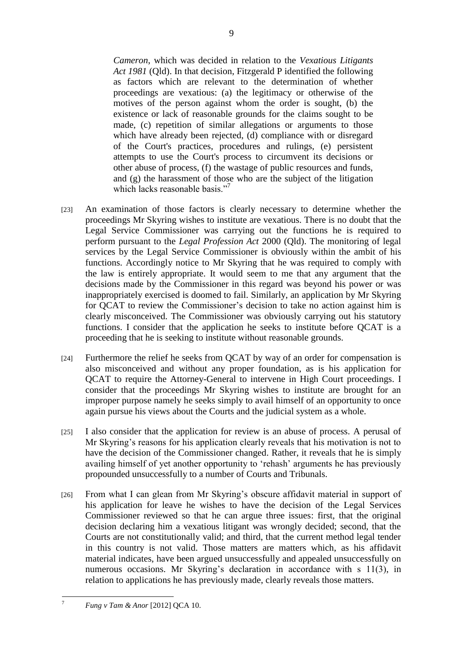*Cameron*, which was decided in relation to the *Vexatious Litigants Act 1981* (Qld). In that decision, Fitzgerald P identified the following as factors which are relevant to the determination of whether proceedings are vexatious: (a) the legitimacy or otherwise of the motives of the person against whom the order is sought, (b) the existence or lack of reasonable grounds for the claims sought to be made, (c) repetition of similar allegations or arguments to those which have already been rejected, (d) compliance with or disregard of the Court's practices, procedures and rulings, (e) persistent attempts to use the Court's process to circumvent its decisions or other abuse of process, (f) the wastage of public resources and funds, and (g) the harassment of those who are the subject of the litigation which lacks reasonable basis."<sup>7</sup>

- [23] An examination of those factors is clearly necessary to determine whether the proceedings Mr Skyring wishes to institute are vexatious. There is no doubt that the Legal Service Commissioner was carrying out the functions he is required to perform pursuant to the *Legal Profession Act* 2000 (Qld). The monitoring of legal services by the Legal Service Commissioner is obviously within the ambit of his functions. Accordingly notice to Mr Skyring that he was required to comply with the law is entirely appropriate. It would seem to me that any argument that the decisions made by the Commissioner in this regard was beyond his power or was inappropriately exercised is doomed to fail. Similarly, an application by Mr Skyring for QCAT to review the Commissioner's decision to take no action against him is clearly misconceived. The Commissioner was obviously carrying out his statutory functions. I consider that the application he seeks to institute before QCAT is a proceeding that he is seeking to institute without reasonable grounds.
- [24] Furthermore the relief he seeks from QCAT by way of an order for compensation is also misconceived and without any proper foundation, as is his application for QCAT to require the Attorney-General to intervene in High Court proceedings. I consider that the proceedings Mr Skyring wishes to institute are brought for an improper purpose namely he seeks simply to avail himself of an opportunity to once again pursue his views about the Courts and the judicial system as a whole.
- [25] I also consider that the application for review is an abuse of process. A perusal of Mr Skyring's reasons for his application clearly reveals that his motivation is not to have the decision of the Commissioner changed. Rather, it reveals that he is simply availing himself of yet another opportunity to 'rehash' arguments he has previously propounded unsuccessfully to a number of Courts and Tribunals.
- [26] From what I can glean from Mr Skyring's obscure affidavit material in support of his application for leave he wishes to have the decision of the Legal Services Commissioner reviewed so that he can argue three issues: first, that the original decision declaring him a vexatious litigant was wrongly decided; second, that the Courts are not constitutionally valid; and third, that the current method legal tender in this country is not valid. Those matters are matters which, as his affidavit material indicates, have been argued unsuccessfully and appealed unsuccessfully on numerous occasions. Mr Skyring's declaration in accordance with s 11(3), in relation to applications he has previously made, clearly reveals those matters.

9

 $\overline{7}$ 

<sup>7</sup> *Fung v Tam & Anor* [2012] QCA 10.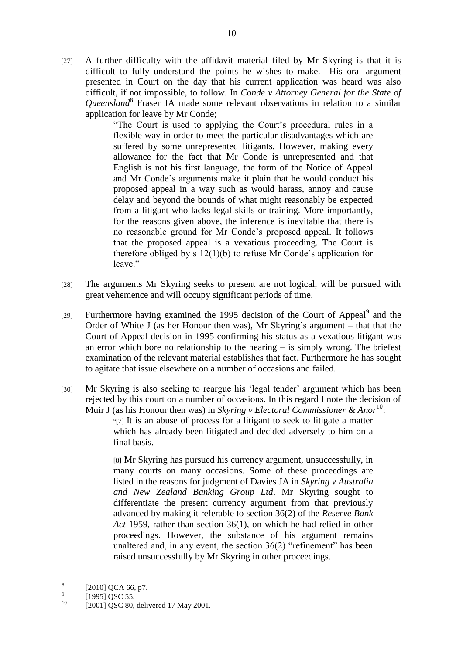[27] A further difficulty with the affidavit material filed by Mr Skyring is that it is difficult to fully understand the points he wishes to make. His oral argument presented in Court on the day that his current application was heard was also difficult, if not impossible, to follow. In *Conde v Attorney General for the State of Queensland*<sup>8</sup> Fraser JA made some relevant observations in relation to a similar application for leave by Mr Conde;

―The Court is used to applying the Court's procedural rules in a flexible way in order to meet the particular disadvantages which are suffered by some unrepresented litigants. However, making every allowance for the fact that Mr Conde is unrepresented and that English is not his first language, the form of the Notice of Appeal and Mr Conde's arguments make it plain that he would conduct his proposed appeal in a way such as would harass, annoy and cause delay and beyond the bounds of what might reasonably be expected from a litigant who lacks legal skills or training. More importantly, for the reasons given above, the inference is inevitable that there is no reasonable ground for Mr Conde's proposed appeal. It follows that the proposed appeal is a vexatious proceeding. The Court is therefore obliged by s 12(1)(b) to refuse Mr Conde's application for leave."

- [28] The arguments Mr Skyring seeks to present are not logical, will be pursued with great vehemence and will occupy significant periods of time.
- [29] Furthermore having examined the 1995 decision of the Court of Appeal<sup>9</sup> and the Order of White J (as her Honour then was), Mr Skyring's argument – that that the Court of Appeal decision in 1995 confirming his status as a vexatious litigant was an error which bore no relationship to the hearing – is simply wrong. The briefest examination of the relevant material establishes that fact. Furthermore he has sought to agitate that issue elsewhere on a number of occasions and failed.
- [30] Mr Skyring is also seeking to reargue his 'legal tender' argument which has been rejected by this court on a number of occasions. In this regard I note the decision of Muir J (as his Honour then was) in *Skyring v Electoral Commissioner & Anor*<sup>10</sup>:

―[7] It is an abuse of process for a litigant to seek to litigate a matter which has already been litigated and decided adversely to him on a final basis.

[8] Mr Skyring has pursued his currency argument, unsuccessfully, in many courts on many occasions. Some of these proceedings are listed in the reasons for judgment of Davies JA in *Skyring v Australia and New Zealand Banking Group Ltd*. Mr Skyring sought to differentiate the present currency argument from that previously advanced by making it referable to section 36(2) of the *Reserve Bank Act* 1959, rather than section 36(1), on which he had relied in other proceedings. However, the substance of his argument remains unaltered and, in any event, the section  $36(2)$  "refinement" has been raised unsuccessfully by Mr Skyring in other proceedings.

 $\frac{1}{8}$ [2010] QCA 66, p7.

<sup>9</sup> [1995] QSC 55.

<sup>&</sup>lt;sup>10</sup> [2001] QSC 80, delivered 17 May 2001.